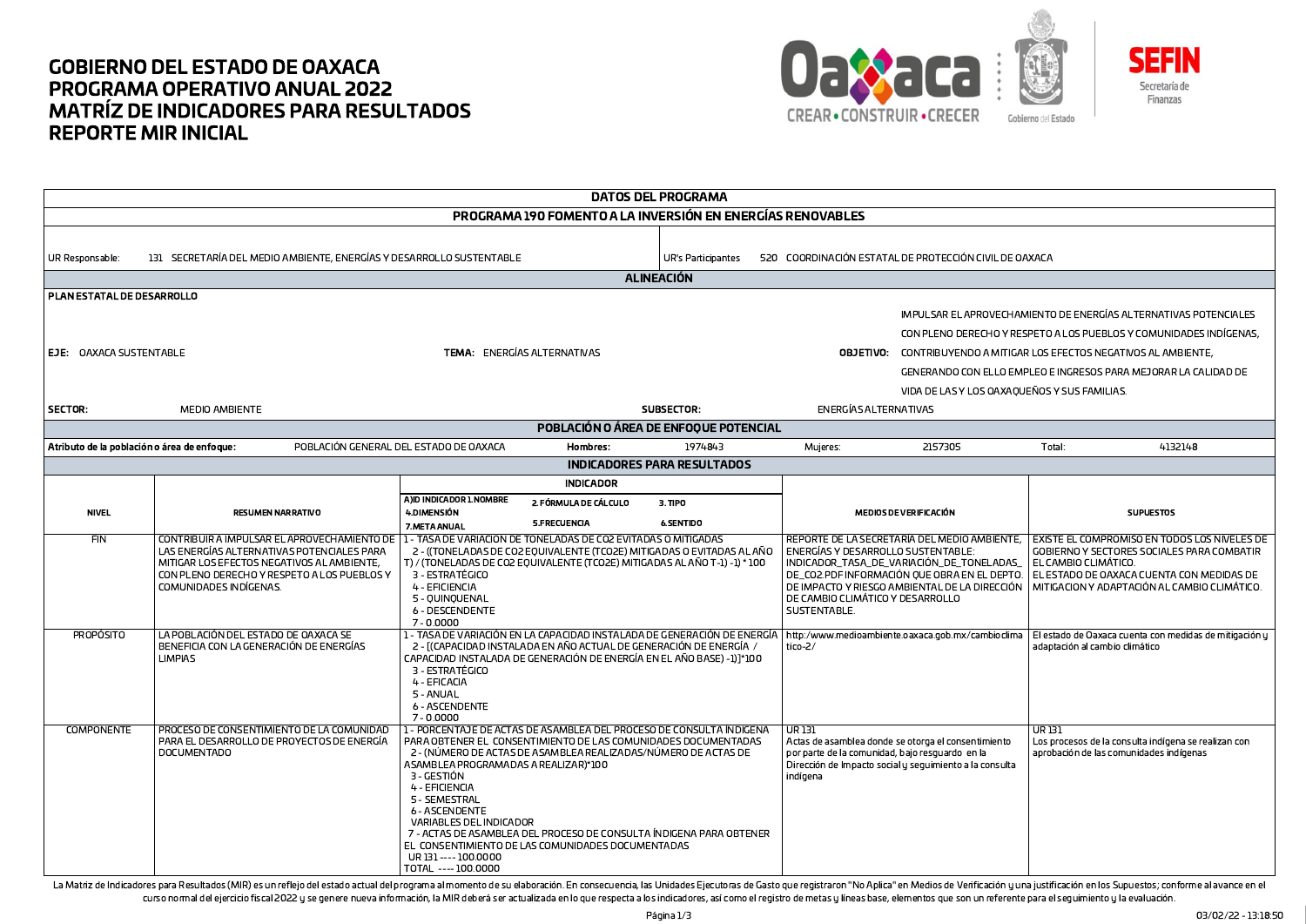## **GOBIERNO DEL ESTADO DE OAXACA PROGRAMA OPERATIVO ANUAL 2022 MATRÍZ DE INDICADORES PARA RESULTADOS REPORTE MIR INICIAL**





**DATOS DEL PROGRAMA** PROGRAMA 190 FOMENTO A LA INVERSIÓN EN ENERGÍAS RENOVABLES 131 SECRETARÍA DEL MEDIO AMBIENTE, ENERGÍAS Y DESARROLLO SUSTENTABLE UR Responsable UR's Participantes 520 COORDINACIÓN ESTATAL DE PROTECCIÓN CIVIL DE OAXACA **ALINEACIÓN** PLAN ESTATAL DE DESARROLLO IMPULSAR EL APROVECHAMIENTO DE ENERGÍAS ALTERNATIVAS POTENCIALES CON PLENO DERECHO Y RESPETO A LOS PUEBLOS Y COMUNIDADES INDÍGENAS, EJE: OAXACA SUSTENTABLE TEMA: ENERGÍAS ALTERNATIVAS **OBJETIVO:** CONTRIBUYENDO A MITIGAR LOS EFECTOS NEGATIVOS AL AMBIENTE. GENERANDO CON ELLO EMPLEO E INGRESOS PARA MEJORAR LA CALIDAD DE VIDA DE LAS Y LOS OAXAOUEÑOS Y SUS FAMILIAS. SECTOR: MEDIO AMBIENTE SUBSECTOR: **ENFRGÍAS ALTERNATIVAS** POBLACIÓN O ÁREA DE ENFOQUE POTENCIAL Atributo de la población o área de enfoque: POBLACIÓN GENERAL DEL ESTADO DE OAXACA 1974843 2157305 Total: 4132148 **Hombres:** Mujeres: INDICADORES PARA RESULTADOS **INDICADOR** A JID INDICADOR 1. NOMBRE 2. FÓRMULA DE CÁLCULO  $3.$  TIPO **NIVEL** 4.DIMENSIÓN MEDIOS DE VERIFICACIÓN **SUPUESTOS PESUMEN NAPPATIVO** 5.FRECUENCIA **6.SENTIDO 7 MFTA ANUAL**  $FIN$ CONTRIBUIR A IMPULSAR EL APROVECHAMIENTO DE 11-TASA DE VARIACION DE TONELADAS DE CO2 EVITADAS O MITIGADAS REPORTE DE LA SECRETARÍA DEL MEDIO AMBIENTE. I EXISTE EL COMPROMISO EN TODOS LOS NIVELES DE LAS ENERGÍAS ALTERNATIVAS POTENCIALES PARA 2 - ((TONELADAS DE CO2 EQUIVALENTE (TCO2E) MITIGADAS O EVITADAS AL AÑO ENERGÍAS Y DESARROLLO SUSTENTABLE: GOBIERNO Y SECTORES SOCIALES PARA COMBATIR MITIGAR LOS EFECTOS NEGATIVOS AL AMBIENTE. T) / (TONELADAS DE CO2 EOUIVALENTE (TCO2E) MITIGADAS AL AÑO T-1) -1) \* 100 INDICADOR TASA DE VARIACIÓN DE TONELADAS EL CAMBIO CLIMÁTICO. CON PLENO DERECHO Y RESPETO A LOS PUEBLOS Y 3 - ESTRATÉGICO DE CO2.PDF INFORMACIÓN QUE OBRA EN EL DEPTO. | EL ESTADO DE OAXACA CUENTA CON MEDIDAS DE COMUNIDADES INDÍGENAS. 4 - EFICIENCIA DE IMPACTO Y RIESGO AMBIENTAL DE LA DIRECCIÓN I MITIGACION Y ADAPTACIÓN AL CAMBIO CLIMÁTICO. 5 - OUINOUENAL DE CAMBIO CLIMÁTICO Y DESARROLLO 6 - DESCENDENTE I SUSTENTARI E  $7 - 0.0000$ **PROPÓSITO** LA POBLACIÓN DEL ESTADO DE OAXACA SE 1 - TASA DE VARIACIÓN EN LA CAPACIDAD INSTALADA DE GENERACIÓN DE ENERGÍA http:/www.medioambiente.oaxaca.gob.mx/cambioclima El estado de Oaxaca cuenta con medidas de mitigación y BENEFICIA CON LA GENERACIÓN DE ENFRGÍAS 2 - [(CAPACIDAD INSTALADA EN AÑO ACTUAL DE GENERACIÓN DE ENERGÍA)  $t$ ico-2/ adantación al cambio climático **LIMPIAS** CAPACIDAD INSTALADA DE GENERACIÓN DE ENERGÍA EN EL AÑO BASE) -1)]\*100 3 - ESTRATÉGICO 4 - EFICACIA 5 - ANUAL **6 - ASCENDENTE** 7 - 0.0000 **COMPONENTE** PROCESO DE CONSENTIMIENTO DE LA COMUNIDAD 1 - PORCENTAJE DE ACTAS DE ASAMBLEA DEL PROCESO DE CONSULTA ÍNDIGENA UR 131 וכו סוו PARA EL DESARROLLO DE PROYECTOS DE ENERGÍA PARA OBTENER EL CONSENTIMIENTO DE LAS COMUNIDADES DOCUMENTADAS Actas de asamblea donde se otorga el consentimiento Los procesos de la consulta indígena se realizan con 2 - (NÚMERO DE ACTAS DE ASAMBLEA REALIZADAS/NÚMERO DE ACTAS DE **DOCUMENTADO** por parte de la comunidad, bajo resquardo en la aprobación de las comunidades indígenas ASAMBLEA PROGRAMADAS A REALIZAR)\*100 Dirección de Impacto social y seguimiento a la consulta 3 - GESTIÓN indígena 4 - EFICIENCIA 5 - SEMESTRAL **6 - ASCENDENTE** VARIABLES DEL INDICADOR 7 - ACTAS DE ASAMBLEA DEL PROCESO DE CONSULTA ÍNDIGENA PARA OBTENER EL CONSENTIMIENTO DE LAS COMUNIDADES DOCUMENTADAS UR131---- 100,0000 TOTAL ---- 100,0000

La Matriz de Indicadores para Resultados (MIR) es un reflejo del estado actual del programa al momento de su elaboración. En consecuencia, las Unidades Ejecutoras de Gasto que registraron "No Aplica" en Medios de Verificac curso normal del ejercicio fiscal 2022 u se genere nueva información, la MIR deberá ser actualizada en lo que respecta a los indicadores, así como el registro de metas u líneas base, elementos que son un referente para el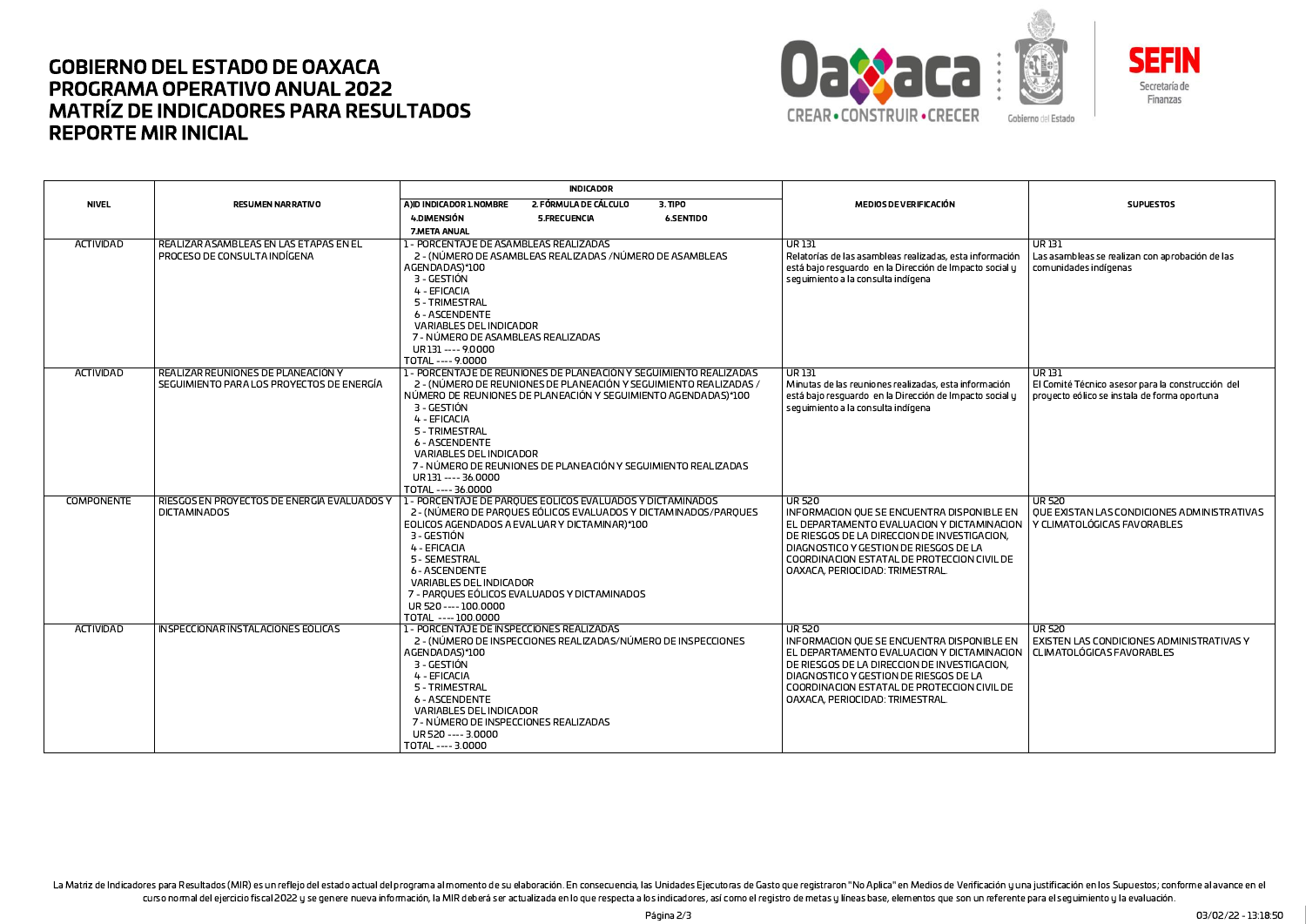## **GOBIERNO DEL ESTADO DE OAXACA PROGRAMA OPERATIVO ANUAL 2022 MATRÍZ DE INDICADORES PARA RESULTADOS REPORTE MIR INICIAL**





**INDICADOR NIVEL** A)ID INDICADOR 1.NOMBRE 2. FÓRMULA DE CÁLCULO **RESUMEN NARRATIVO**  $3.$  TIPO MEDIOS DE VERIFICACIÓN **SUPUESTOS** 4.DIMENSIÓN 5.FRECUENCIA **6.SENTIDO** 7.META ANUAL **ACTIVIDAD** REALIZAR ASAMBLEAS EN LAS ETAPAS EN EL 1 - PORCENTAJE DE ASAMBLEAS REALIZADAS  $\overline{UR}$  131  $\overline{UR}$  131 PROCESO DE CONSULTA INDÍGENA 2 - (NÚMERO DE ASAMBI FAS REALIZADAS /NÚMERO DE ASAMBI FAS Relatorías de las asambleas realizadas, esta información Las asambleas se realizan con aprobación de las AGENDADAS)\*100 está bajo resquardo en la Dirección de Impacto social y comunidades indígenas 3 - GESTIÓN seguimiento a la consulta indígena 4 - EFICACIA 5 - TRIMFSTRAI **6 - ASCENDENTE VARIABLES DEL INDICADOR** 7 - NÚMERO DE ASAMBLEAS REALIZADAS UR131---- 9.0000 TOTAL ---- 9.0000 ACTIVIDAD REALIZAR REUNIONES DE PLANEACIÓN Y 1 - PORCENTAJE DE REUNIONES DE PLANEACIÓN Y SEGUIMIENTO REALIZADAS UR131 **UR131** SEGUIMIENTO PARA LOS PROYECTOS DE ENERGÍA 2 - (NÚMERO DE REUNIONES DE PLANEACIÓN Y SEGUIMIENTO REALIZADAS / Minutas de las reuniones realizadas, esta información El Comité Técnico asesor para la construcción del NÚMERO DE REUNIONES DE PLANEACIÓN Y SEGUIMIENTO AGENDADAS)\*100 está baio resquardo en la Dirección de Impacto social u prouecto eólico se instala de forma oportuna 3 - GESTIÓN seguimiento a la consulta indígena 4 - FFICACIA 5 - TRIMESTRAL **6 - ASCENDENTE** VARIABLES DEL INDICADOR 7 - NÚMERO DE REUNIONES DE PLANEACIÓN Y SEGUIMIENTO REALIZADAS UR131 ---- 36,0000 TOTAL ---- 36,0000 **COMPONENTE** RIESGOS EN PROYECTOS DE ENERGÍA EVALUADOS Y 1 - PORCENTAJE DE PAROUES EOLICOS EVALUADOS Y DICTAMINADOS UR 520 **UR 520** INFORMACION QUE SE ENCUENTRA DISPONIBLE EN **DICTAMINADOS** 2 - (NÚMERO DE PARQUES EÓLICOS EVALUADOS Y DICTAMINADOS/PARQUES OUE EXISTAN LAS CONDICIONES ADMINISTRATIVAS EQLICOS AGENDADOS A EVALUAR Y DICTAMINAR)\*100 Y CLIMATOLOGICAS FAVORABLES EL DEPARTAMENTO EVALUACIÓN Y DICTAMINACIÓN 3 - GESTIÓN DE RIESGOS DE LA DIRECCION DE INVESTIGACION. 4 - EFICACIA DIAGNOSTICO Y GESTION DE RIESGOS DE LA 5 - SEMESTRAL COORDINACION ESTATAL DE PROTECCION CIVIL DE **6 - ASCENDENTE** OAXACA, PERIOCIDAD: TRIMESTRAL. VARIABLES DEL INDICADOR 7 - PAROUES EÓLICOS EVALUADOS Y DICTAMINADOS UR 520 ---- 100.0000 TOTAL ---- 100.0000 **ACTIVIDAD** INSPECCIONAR INSTALACIONES FÓLICAS 1 - PORCENTAJE DE INSPECCIONES REALIZADAS  $\overline{11}$  $\overline{11}$  R 520 2 - (NÚMERO DE INSPECCIONES REALIZADAS/NÚMERO DE INSPECCIONES EXISTEN LAS CONDICIONES ADMINISTRATIVAS Y INFORMACION OUE SE ENCUENTRA DISPONIBLE EN AGENDADAS)\*100 EL DEPARTAMENTO EVALUACION Y DICTAMINACION CLIMATOLÓGICAS FAVORABLES 3 - GESTIÓN LDE RIESCOS DE LA DIRECCION DE INVESTIGACION. 4 - EFICACIA DIAGNOSTICO Y GESTION DE RIESGOS DE LA 5 - TRIMESTRAL COORDINACION ESTATAL DE PROTECCION CIVIL DE 6 - ASCENDENTE **OAXACA PERIOCIDAD: TRIMESTRAL** VARIABLES DEL INDICADOR 7 - NÚMERO DE INSPECCIONES REALIZADAS UR 520 ---- 3.0000 TOTAL ---- 3.0000

La Matriz de Indicadores para Resultados (MIR) es un reflejo del estado actual del programa al momento de su elaboración. En consecuencia, las Unidades Ejecutoras de Gasto que registraron "No Aplica" en Medios de Verificac curso normal del ejercicio fiscal 2022 u se genere nueva información, la MIR deberá ser actualizada en lo que respecta a los indicadores, así como el registro de metas u líneas base, elementos que son un referente para el